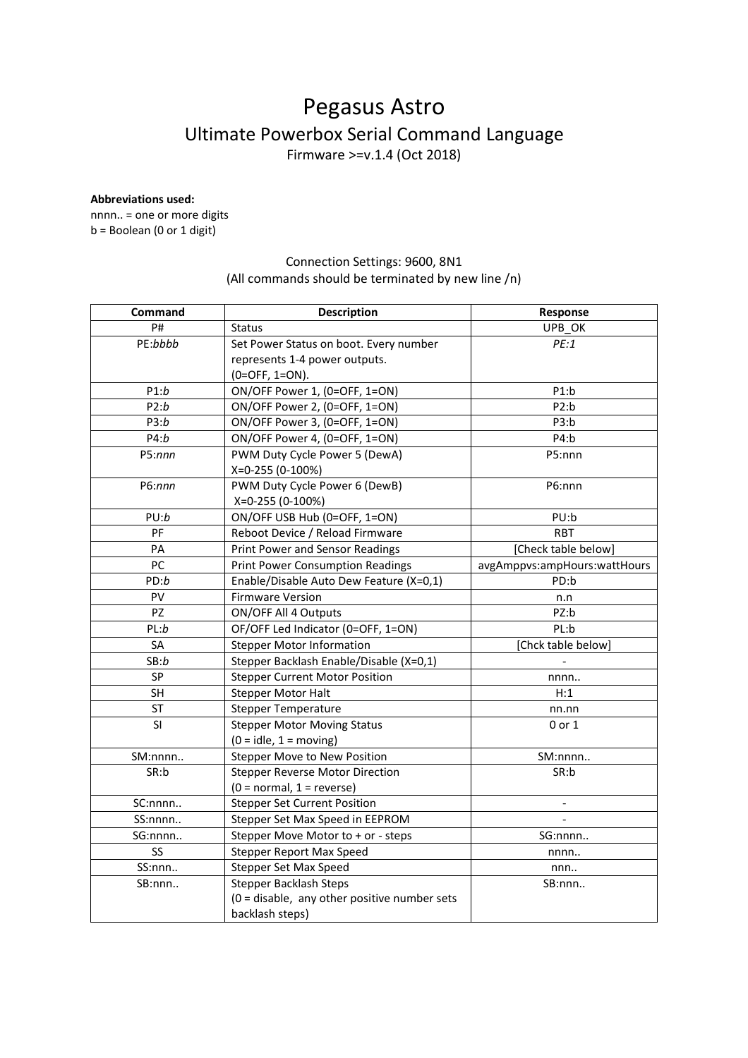# Pegasus Astro Ultimate Powerbox Serial Command Language

Firmware >=v.1.4 (Oct 2018)

#### **Abbreviations used:**

nnnn.. = one or more digits b = Boolean (0 or 1 digit)

## Connection Settings: 9600, 8N1 (All commands should be terminated by new line /n)

| Command   | <b>Description</b>                             | Response                     |
|-----------|------------------------------------------------|------------------------------|
| P#        | <b>Status</b>                                  | UPB_OK                       |
| PE:bbbb   | Set Power Status on boot. Every number         | PE:1                         |
|           | represents 1-4 power outputs.                  |                              |
|           | (0=OFF, 1=ON).                                 |                              |
| P1:b      | ON/OFF Power 1, (0=OFF, 1=ON)                  | P1:b                         |
| P2:b      | ON/OFF Power 2, (0=OFF, 1=ON)                  | P2:b                         |
| P3:b      | ON/OFF Power 3, (0=OFF, 1=ON)                  | P3:b                         |
| P4:b      | ON/OFF Power 4, (0=OFF, 1=ON)                  | P4:b                         |
| P5:nnn    | PWM Duty Cycle Power 5 (DewA)                  | P5:nnn                       |
|           | X=0-255 (0-100%)                               |                              |
| P6:nnn    | PWM Duty Cycle Power 6 (DewB)                  | P6:nnn                       |
|           | X=0-255 (0-100%)                               |                              |
| PU:b      | ON/OFF USB Hub (0=OFF, 1=ON)                   | PU:b                         |
| PF        | Reboot Device / Reload Firmware                | <b>RBT</b>                   |
| PA        | Print Power and Sensor Readings                | [Check table below]          |
| PC        | <b>Print Power Consumption Readings</b>        | avgAmppvs:ampHours:wattHours |
| PD:b      | Enable/Disable Auto Dew Feature (X=0,1)        | PD:b                         |
| PV        | <b>Firmware Version</b>                        | n.n                          |
| PZ        | ON/OFF All 4 Outputs                           | PZ:b                         |
| PL:b      | OF/OFF Led Indicator (0=OFF, 1=ON)             | PL:b                         |
| <b>SA</b> | <b>Stepper Motor Information</b>               | [Chck table below]           |
| SB:b      | Stepper Backlash Enable/Disable (X=0,1)        |                              |
| <b>SP</b> | <b>Stepper Current Motor Position</b>          | nnnn                         |
| <b>SH</b> | <b>Stepper Motor Halt</b>                      | H:1                          |
| ST        | <b>Stepper Temperature</b>                     | nn.nn                        |
| SI        | <b>Stepper Motor Moving Status</b>             | 0 or 1                       |
|           | $(0 = idle, 1 = moving)$                       |                              |
| SM:nnnn   | <b>Stepper Move to New Position</b>            | SM:nnnn                      |
| SR:b      | <b>Stepper Reverse Motor Direction</b>         | SR:b                         |
|           | $(0 = normal, 1 = reverse)$                    |                              |
| SC:nnnn   | <b>Stepper Set Current Position</b>            |                              |
| SS:nnnn   | Stepper Set Max Speed in EEPROM                |                              |
| SG:nnnn   | Stepper Move Motor to + or - steps             | SG:nnnn                      |
| <b>SS</b> | <b>Stepper Report Max Speed</b>                | nnnn                         |
| SS:nnn    | Stepper Set Max Speed                          | nnn                          |
| SB:nnn    | <b>Stepper Backlash Steps</b>                  | SB:nnn                       |
|           | $(0 =$ disable, any other positive number sets |                              |
|           | backlash steps)                                |                              |